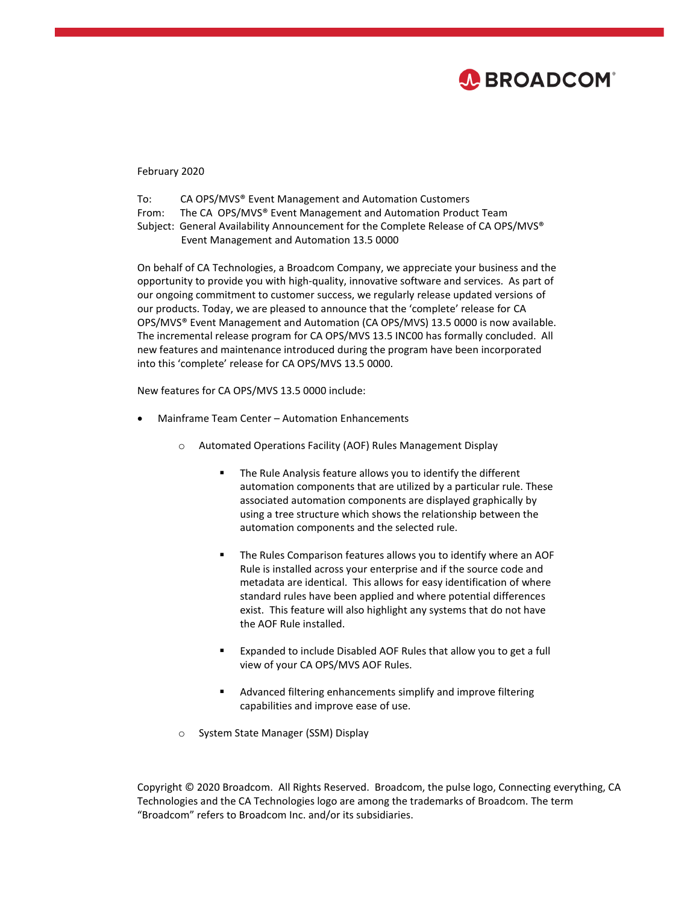

## February 2020

| To:   | CA OPS/MVS <sup>®</sup> Event Management and Automation Customers                  |
|-------|------------------------------------------------------------------------------------|
| From: | The CA OPS/MVS® Event Management and Automation Product Team                       |
|       | Subject: General Availability Announcement for the Complete Release of CA OPS/MVS® |

Event Management and Automation 13.5 0000

On behalf of CA Technologies, a Broadcom Company, we appreciate your business and the opportunity to provide you with high-quality, innovative software and services. As part of our ongoing commitment to customer success, we regularly release updated versions of our products. Today, we are pleased to announce that the 'complete' release for CA OPS/MVS® Event Management and Automation (CA OPS/MVS) 13.5 0000 is now available. The incremental release program for CA OPS/MVS 13.5 INC00 has formally concluded. All new features and maintenance introduced during the program have been incorporated into this 'complete' release for CA OPS/MVS 13.5 0000.

New features for CA OPS/MVS 13.5 0000 include:

- Mainframe Team Center Automation Enhancements
	- o Automated Operations Facility (AOF) Rules Management Display
		- **The Rule Analysis feature allows you to identify the different** automation components that are utilized by a particular rule. These associated automation components are displayed graphically by using a tree structure which shows the relationship between the automation components and the selected rule.
		- **The Rules Comparison features allows you to identify where an AOF** Rule is installed across your enterprise and if the source code and metadata are identical. This allows for easy identification of where standard rules have been applied and where potential differences exist. This feature will also highlight any systems that do not have the AOF Rule installed.
		- Expanded to include Disabled AOF Rules that allow you to get a full view of your CA OPS/MVS AOF Rules.
		- Advanced filtering enhancements simplify and improve filtering capabilities and improve ease of use.
	- o System State Manager (SSM) Display

Copyright © 2020 Broadcom. All Rights Reserved. Broadcom, the pulse logo, Connecting everything, CA Technologies and the CA Technologies logo are among the trademarks of Broadcom. The term "Broadcom" refers to Broadcom Inc. and/or its subsidiaries.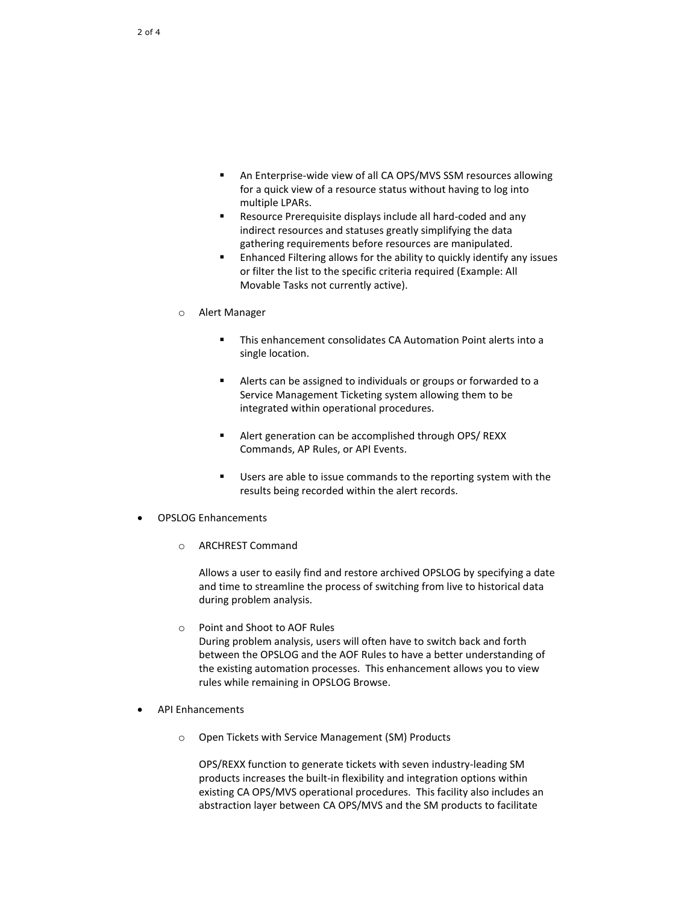- An Enterprise-wide view of all CA OPS/MVS SSM resources allowing for a quick view of a resource status without having to log into multiple LPARs.
- Resource Prerequisite displays include all hard-coded and any indirect resources and statuses greatly simplifying the data gathering requirements before resources are manipulated.
- **Enhanced Filtering allows for the ability to quickly identify any issues** or filter the list to the specific criteria required (Example: All Movable Tasks not currently active).
- o Alert Manager
	- This enhancement consolidates CA Automation Point alerts into a single location.
	- Alerts can be assigned to individuals or groups or forwarded to a Service Management Ticketing system allowing them to be integrated within operational procedures.
	- Alert generation can be accomplished through OPS/ REXX Commands, AP Rules, or API Events.
	- Users are able to issue commands to the reporting system with the results being recorded within the alert records.
- OPSLOG Enhancements
	- o ARCHREST Command

Allows a user to easily find and restore archived OPSLOG by specifying a date and time to streamline the process of switching from live to historical data during problem analysis.

- o Point and Shoot to AOF Rules During problem analysis, users will often have to switch back and forth between the OPSLOG and the AOF Rules to have a better understanding of the existing automation processes. This enhancement allows you to view rules while remaining in OPSLOG Browse.
- API Enhancements
	- o Open Tickets with Service Management (SM) Products

OPS/REXX function to generate tickets with seven industry-leading SM products increases the built-in flexibility and integration options within existing CA OPS/MVS operational procedures. This facility also includes an abstraction layer between CA OPS/MVS and the SM products to facilitate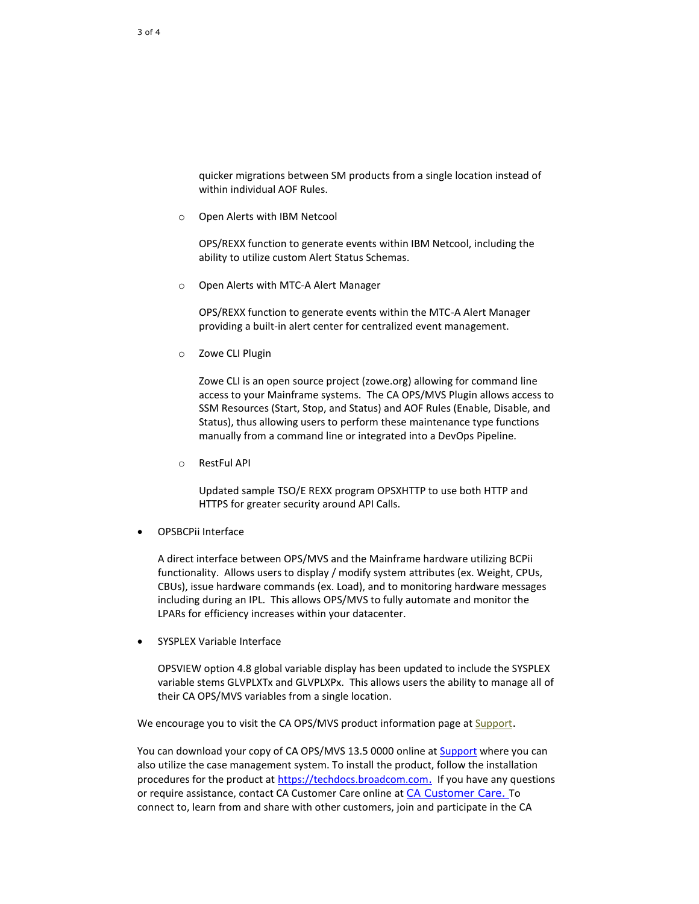quicker migrations between SM products from a single location instead of within individual AOF Rules.

o Open Alerts with IBM Netcool

OPS/REXX function to generate events within IBM Netcool, including the ability to utilize custom Alert Status Schemas.

o Open Alerts with MTC-A Alert Manager

OPS/REXX function to generate events within the MTC-A Alert Manager providing a built-in alert center for centralized event management.

o Zowe CLI Plugin

Zowe CLI is an open source project (zowe.org) allowing for command line access to your Mainframe systems. The CA OPS/MVS Plugin allows access to SSM Resources (Start, Stop, and Status) and AOF Rules (Enable, Disable, and Status), thus allowing users to perform these maintenance type functions manually from a command line or integrated into a DevOps Pipeline.

o RestFul API

Updated sample TSO/E REXX program OPSXHTTP to use both HTTP and HTTPS for greater security around API Calls.

OPSBCPii Interface

A direct interface between OPS/MVS and the Mainframe hardware utilizing BCPii functionality. Allows users to display / modify system attributes (ex. Weight, CPUs, CBUs), issue hardware commands (ex. Load), and to monitoring hardware messages including during an IPL. This allows OPS/MVS to fully automate and monitor the LPARs for efficiency increases within your datacenter.

SYSPLEX Variable Interface

OPSVIEW option 4.8 global variable display has been updated to include the SYSPLEX variable stems GLVPLXTx and GLVPLXPx. This allows users the ability to manage all of their CA OPS/MVS variables from a single location.

We encourage you to visit the CA OPS/MVS product information page a[t Support](https://support.broadcom.com/).

You can download your copy of CA OPS/MVS 13.5 0000 online at **Support** where you can also utilize the case management system. To install the product, follow the installation procedures for the product at [https://techdocs.broadcom.com](https://techdocs.broadcom.com/). If you have any questions or require assistance, contact CA Customer Care online at [CA Customer Care.](https://community.broadcom.com/groups/communities/communityhomeblogs?CommunityKey=c475a143-13f8-4809-b469-d8541b80ea91.) To connect to, learn from and share with other customers, join and participate in the CA